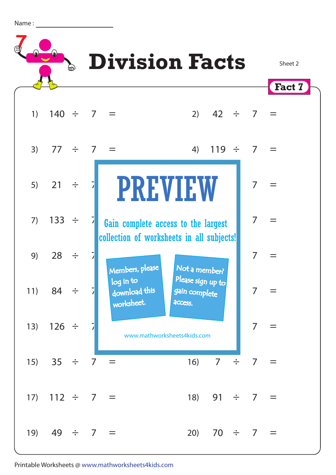